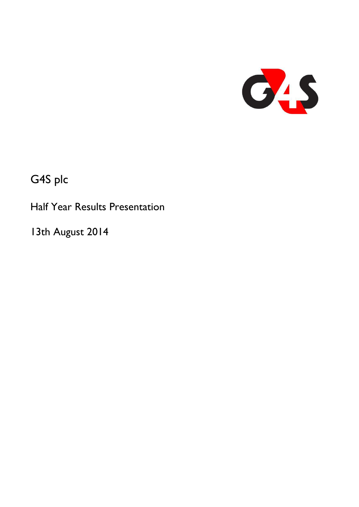

G4S plc

Half Year Results Presentation

13th August 2014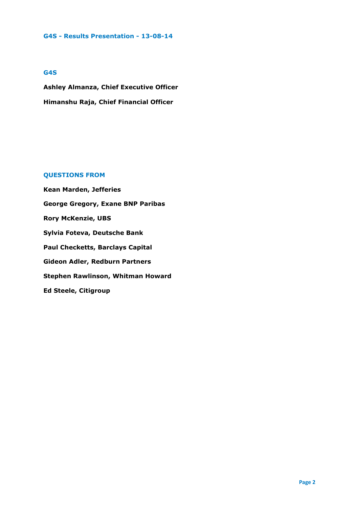# **G4S**

**Ashley Almanza, Chief Executive Officer Himanshu Raja, Chief Financial Officer**

# **QUESTIONS FROM**

**Kean Marden, Jefferies George Gregory, Exane BNP Paribas Rory McKenzie, UBS Sylvia Foteva, Deutsche Bank Paul Checketts, Barclays Capital Gideon Adler, Redburn Partners Stephen Rawlinson, Whitman Howard Ed Steele, Citigroup**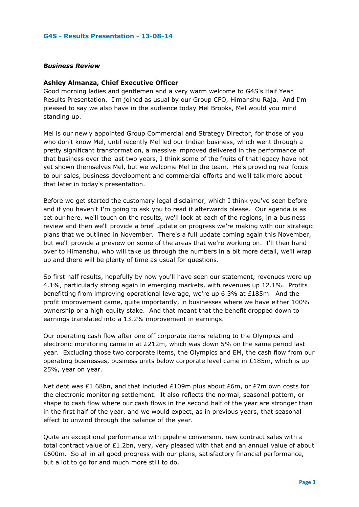# *Business Review*

#### **Ashley Almanza, Chief Executive Officer**

Good morning ladies and gentlemen and a very warm welcome to G4S's Half Year Results Presentation. I'm joined as usual by our Group CFO, Himanshu Raja. And I'm pleased to say we also have in the audience today Mel Brooks, Mel would you mind standing up.

Mel is our newly appointed Group Commercial and Strategy Director, for those of you who don't know Mel, until recently Mel led our Indian business, which went through a pretty significant transformation, a massive improved delivered in the performance of that business over the last two years, I think some of the fruits of that legacy have not yet shown themselves Mel, but we welcome Mel to the team. He's providing real focus to our sales, business development and commercial efforts and we'll talk more about that later in today's presentation.

Before we get started the customary legal disclaimer, which I think you've seen before and if you haven't I'm going to ask you to read it afterwards please. Our agenda is as set our here, we'll touch on the results, we'll look at each of the regions, in a business review and then we'll provide a brief update on progress we're making with our strategic plans that we outlined in November. There's a full update coming again this November, but we'll provide a preview on some of the areas that we're working on. I'll then hand over to Himanshu, who will take us through the numbers in a bit more detail, we'll wrap up and there will be plenty of time as usual for questions.

So first half results, hopefully by now you'll have seen our statement, revenues were up 4.1%, particularly strong again in emerging markets, with revenues up 12.1%. Profits benefitting from improving operational leverage, we're up 6.3% at £185m. And the profit improvement came, quite importantly, in businesses where we have either 100% ownership or a high equity stake. And that meant that the benefit dropped down to earnings translated into a 13.2% improvement in earnings.

Our operating cash flow after one off corporate items relating to the Olympics and electronic monitoring came in at £212m, which was down 5% on the same period last year. Excluding those two corporate items, the Olympics and EM, the cash flow from our operating businesses, business units below corporate level came in  $£185m$ , which is up 25%, year on year.

Net debt was £1.68bn, and that included £109m plus about £6m, or £7m own costs for the electronic monitoring settlement. It also reflects the normal, seasonal pattern, or shape to cash flow where our cash flows in the second half of the year are stronger than in the first half of the year, and we would expect, as in previous years, that seasonal effect to unwind through the balance of the year.

Quite an exceptional performance with pipeline conversion, new contract sales with a total contract value of £1.2bn, very, very pleased with that and an annual value of about £600m. So all in all good progress with our plans, satisfactory financial performance, but a lot to go for and much more still to do.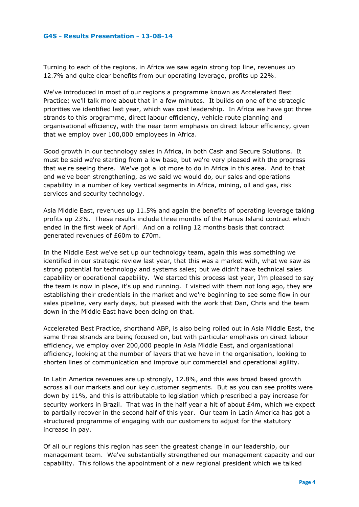Turning to each of the regions, in Africa we saw again strong top line, revenues up 12.7% and quite clear benefits from our operating leverage, profits up 22%.

We've introduced in most of our regions a programme known as Accelerated Best Practice; we'll talk more about that in a few minutes. It builds on one of the strategic priorities we identified last year, which was cost leadership. In Africa we have got three strands to this programme, direct labour efficiency, vehicle route planning and organisational efficiency, with the near term emphasis on direct labour efficiency, given that we employ over 100,000 employees in Africa.

Good growth in our technology sales in Africa, in both Cash and Secure Solutions. It must be said we're starting from a low base, but we're very pleased with the progress that we're seeing there. We've got a lot more to do in Africa in this area. And to that end we've been strengthening, as we said we would do, our sales and operations capability in a number of key vertical segments in Africa, mining, oil and gas, risk services and security technology.

Asia Middle East, revenues up 11.5% and again the benefits of operating leverage taking profits up 23%. These results include three months of the Manus Island contract which ended in the first week of April. And on a rolling 12 months basis that contract generated revenues of £60m to £70m.

In the Middle East we've set up our technology team, again this was something we identified in our strategic review last year, that this was a market with, what we saw as strong potential for technology and systems sales; but we didn't have technical sales capability or operational capability. We started this process last year, I'm pleased to say the team is now in place, it's up and running. I visited with them not long ago, they are establishing their credentials in the market and we're beginning to see some flow in our sales pipeline, very early days, but pleased with the work that Dan, Chris and the team down in the Middle East have been doing on that.

Accelerated Best Practice, shorthand ABP, is also being rolled out in Asia Middle East, the same three strands are being focused on, but with particular emphasis on direct labour efficiency, we employ over 200,000 people in Asia Middle East, and organisational efficiency, looking at the number of layers that we have in the organisation, looking to shorten lines of communication and improve our commercial and operational agility.

In Latin America revenues are up strongly, 12.8%, and this was broad based growth across all our markets and our key customer segments. But as you can see profits were down by 11%, and this is attributable to legislation which prescribed a pay increase for security workers in Brazil. That was in the half year a hit of about £4m, which we expect to partially recover in the second half of this year. Our team in Latin America has got a structured programme of engaging with our customers to adjust for the statutory increase in pay.

Of all our regions this region has seen the greatest change in our leadership, our management team. We've substantially strengthened our management capacity and our capability. This follows the appointment of a new regional president which we talked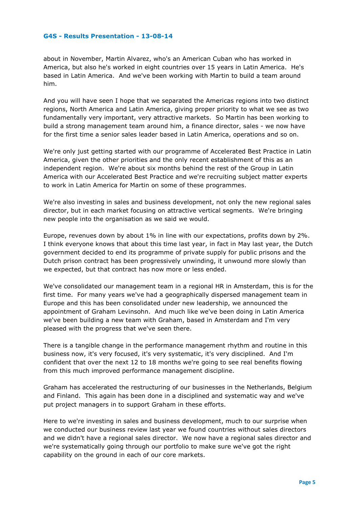about in November, Martin Alvarez, who's an American Cuban who has worked in America, but also he's worked in eight countries over 15 years in Latin America. He's based in Latin America. And we've been working with Martin to build a team around him.

And you will have seen I hope that we separated the Americas regions into two distinct regions, North America and Latin America, giving proper priority to what we see as two fundamentally very important, very attractive markets. So Martin has been working to build a strong management team around him, a finance director, sales - we now have for the first time a senior sales leader based in Latin America, operations and so on.

We're only just getting started with our programme of Accelerated Best Practice in Latin America, given the other priorities and the only recent establishment of this as an independent region. We're about six months behind the rest of the Group in Latin America with our Accelerated Best Practice and we're recruiting subject matter experts to work in Latin America for Martin on some of these programmes.

We're also investing in sales and business development, not only the new regional sales director, but in each market focusing on attractive vertical segments. We're bringing new people into the organisation as we said we would.

Europe, revenues down by about 1% in line with our expectations, profits down by 2%. I think everyone knows that about this time last year, in fact in May last year, the Dutch government decided to end its programme of private supply for public prisons and the Dutch prison contract has been progressively unwinding, it unwound more slowly than we expected, but that contract has now more or less ended.

We've consolidated our management team in a regional HR in Amsterdam, this is for the first time. For many years we've had a geographically dispersed management team in Europe and this has been consolidated under new leadership, we announced the appointment of Graham Levinsohn. And much like we've been doing in Latin America we've been building a new team with Graham, based in Amsterdam and I'm very pleased with the progress that we've seen there.

There is a tangible change in the performance management rhythm and routine in this business now, it's very focused, it's very systematic, it's very disciplined. And I'm confident that over the next 12 to 18 months we're going to see real benefits flowing from this much improved performance management discipline.

Graham has accelerated the restructuring of our businesses in the Netherlands, Belgium and Finland. This again has been done in a disciplined and systematic way and we've put project managers in to support Graham in these efforts.

Here to we're investing in sales and business development, much to our surprise when we conducted our business review last year we found countries without sales directors and we didn't have a regional sales director. We now have a regional sales director and we're systematically going through our portfolio to make sure we've got the right capability on the ground in each of our core markets.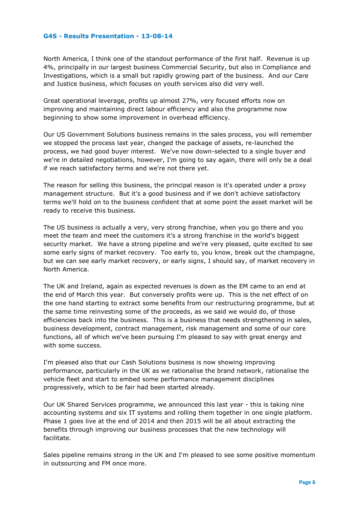North America, I think one of the standout performance of the first half. Revenue is up 4%, principally in our largest business Commercial Security, but also in Compliance and Investigations, which is a small but rapidly growing part of the business. And our Care and Justice business, which focuses on youth services also did very well.

Great operational leverage, profits up almost 27%, very focused efforts now on improving and maintaining direct labour efficiency and also the programme now beginning to show some improvement in overhead efficiency.

Our US Government Solutions business remains in the sales process, you will remember we stopped the process last year, changed the package of assets, re-launched the process, we had good buyer interest. We've now down-selected to a single buyer and we're in detailed negotiations, however, I'm going to say again, there will only be a deal if we reach satisfactory terms and we're not there yet.

The reason for selling this business, the principal reason is it's operated under a proxy management structure. But it's a good business and if we don't achieve satisfactory terms we'll hold on to the business confident that at some point the asset market will be ready to receive this business.

The US business is actually a very, very strong franchise, when you go there and you meet the team and meet the customers it's a strong franchise in the world's biggest security market. We have a strong pipeline and we're very pleased, quite excited to see some early signs of market recovery. Too early to, you know, break out the champagne, but we can see early market recovery, or early signs, I should say, of market recovery in North America.

The UK and Ireland, again as expected revenues is down as the EM came to an end at the end of March this year. But conversely profits were up. This is the net effect of on the one hand starting to extract some benefits from our restructuring programme, but at the same time reinvesting some of the proceeds, as we said we would do, of those efficiencies back into the business. This is a business that needs strengthening in sales, business development, contract management, risk management and some of our core functions, all of which we've been pursuing I'm pleased to say with great energy and with some success.

I'm pleased also that our Cash Solutions business is now showing improving performance, particularly in the UK as we rationalise the brand network, rationalise the vehicle fleet and start to embed some performance management disciplines progressively, which to be fair had been started already.

Our UK Shared Services programme, we announced this last year - this is taking nine accounting systems and six IT systems and rolling them together in one single platform. Phase 1 goes live at the end of 2014 and then 2015 will be all about extracting the benefits through improving our business processes that the new technology will facilitate.

Sales pipeline remains strong in the UK and I'm pleased to see some positive momentum in outsourcing and FM once more.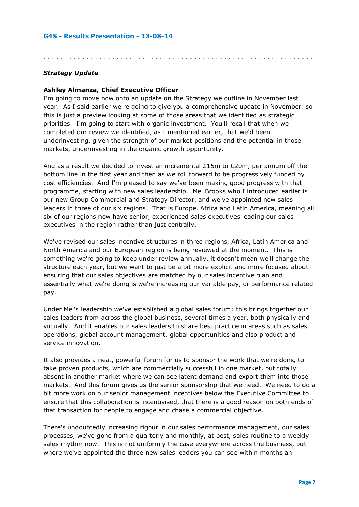# *Strategy Update*

# **Ashley Almanza, Chief Executive Officer**

I'm going to move now onto an update on the Strategy we outline in November last year. As I said earlier we're going to give you a comprehensive update in November, so this is just a preview looking at some of those areas that we identified as strategic priorities. I'm going to start with organic investment. You'll recall that when we completed our review we identified, as I mentioned earlier, that we'd been underinvesting, given the strength of our market positions and the potential in those markets, underinvesting in the organic growth opportunity.

. . . . . . . . . . . . . . . . . . . . . . . . . . . . . . . . . . . . . . . . . . . . . . . . . . . . . . . . . . . . . . .

And as a result we decided to invest an incremental  $£15m$  to  $£20m$ , per annum off the bottom line in the first year and then as we roll forward to be progressively funded by cost efficiencies. And I'm pleased to say we've been making good progress with that programme, starting with new sales leadership. Mel Brooks who I introduced earlier is our new Group Commercial and Strategy Director, and we've appointed new sales leaders in three of our six regions. That is Europe, Africa and Latin America, meaning all six of our regions now have senior, experienced sales executives leading our sales executives in the region rather than just centrally.

We've revised our sales incentive structures in three regions, Africa, Latin America and North America and our European region is being reviewed at the moment. This is something we're going to keep under review annually, it doesn't mean we'll change the structure each year, but we want to just be a bit more explicit and more focused about ensuring that our sales objectives are matched by our sales incentive plan and essentially what we're doing is we're increasing our variable pay, or performance related pay.

Under Mel's leadership we've established a global sales forum; this brings together our sales leaders from across the global business, several times a year, both physically and virtually. And it enables our sales leaders to share best practice in areas such as sales operations, global account management, global opportunities and also product and service innovation.

It also provides a neat, powerful forum for us to sponsor the work that we're doing to take proven products, which are commercially successful in one market, but totally absent in another market where we can see latent demand and export them into those markets. And this forum gives us the senior sponsorship that we need. We need to do a bit more work on our senior management incentives below the Executive Committee to ensure that this collaboration is incentivised, that there is a good reason on both ends of that transaction for people to engage and chase a commercial objective.

There's undoubtedly increasing rigour in our sales performance management, our sales processes, we've gone from a quarterly and monthly, at best, sales routine to a weekly sales rhythm now. This is not uniformly the case everywhere across the business, but where we've appointed the three new sales leaders you can see within months an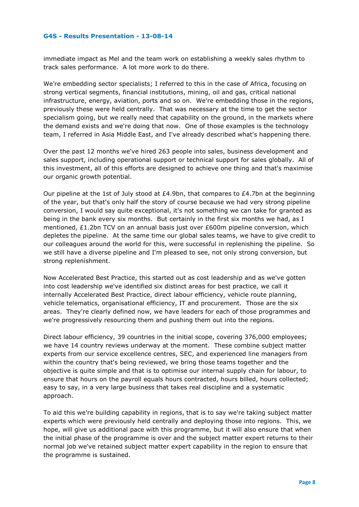immediate impact as Mel and the team work on establishing a weekly sales rhythm to track sales performance. A lot more work to do there.

We're embedding sector specialists; I referred to this in the case of Africa, focusing on strong vertical segments, financial institutions, mining, oil and gas, critical national infrastructure, energy, aviation, ports and so on. We're embedding those in the regions, previously these were held centrally. That was necessary at the time to get the sector specialism going, but we really need that capability on the ground, in the markets where the demand exists and we're doing that now. One of those examples is the technology team, I referred in Asia Middle East, and I've already described what's happening there.

Over the past 12 months we've hired 263 people into sales, business development and sales support, including operational support or technical support for sales globally. All of this investment, all of this efforts are designed to achieve one thing and that's maximise our organic growth potential.

Our pipeline at the 1st of July stood at £4.9bn, that compares to £4.7bn at the beginning of the year, but that's only half the story of course because we had very strong pipeline conversion, I would say quite exceptional, it's not something we can take for granted as being in the bank every six months. But certainly in the first six months we had, as I mentioned, £1.2bn TCV on an annual basis just over £600m pipeline conversion, which depletes the pipeline. At the same time our global sales teams, we have to give credit to our colleagues around the world for this, were successful in replenishing the pipeline. So we still have a diverse pipeline and I'm pleased to see, not only strong conversion, but strong replenishment.

Now Accelerated Best Practice, this started out as cost leadership and as we've gotten into cost leadership we've identified six distinct areas for best practice, we call it internally Accelerated Best Practice, direct labour efficiency, vehicle route planning, vehicle telematics, organisational efficiency, IT and procurement. Those are the six areas. They're clearly defined now, we have leaders for each of those programmes and we're progressively resourcing them and pushing them out into the regions.

Direct labour efficiency, 39 countries in the initial scope, covering 376,000 employees; we have 14 country reviews underway at the moment. These combine subject matter experts from our service excellence centres, SEC, and experienced line managers from within the country that's being reviewed, we bring those teams together and the objective is quite simple and that is to optimise our internal supply chain for labour, to ensure that hours on the payroll equals hours contracted, hours billed, hours collected; easy to say, in a very large business that takes real discipline and a systematic approach.

To aid this we're building capability in regions, that is to say we're taking subject matter experts which were previously held centrally and deploying those into regions. This, we hope, will give us additional pace with this programme, but it will also ensure that when the initial phase of the programme is over and the subject matter expert returns to their normal job we've retained subject matter expert capability in the region to ensure that the programme is sustained.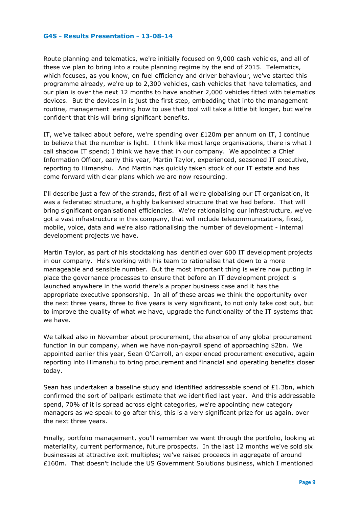Route planning and telematics, we're initially focused on 9,000 cash vehicles, and all of these we plan to bring into a route planning regime by the end of 2015. Telematics, which focuses, as you know, on fuel efficiency and driver behaviour, we've started this programme already, we're up to 2,300 vehicles, cash vehicles that have telematics, and our plan is over the next 12 months to have another 2,000 vehicles fitted with telematics devices. But the devices in is just the first step, embedding that into the management routine, management learning how to use that tool will take a little bit longer, but we're confident that this will bring significant benefits.

IT, we've talked about before, we're spending over £120m per annum on IT, I continue to believe that the number is light. I think like most large organisations, there is what I call shadow IT spend; I think we have that in our company. We appointed a Chief Information Officer, early this year, Martin Taylor, experienced, seasoned IT executive, reporting to Himanshu. And Martin has quickly taken stock of our IT estate and has come forward with clear plans which we are now resourcing.

I'll describe just a few of the strands, first of all we're globalising our IT organisation, it was a federated structure, a highly balkanised structure that we had before. That will bring significant organisational efficiencies. We're rationalising our infrastructure, we've got a vast infrastructure in this company, that will include telecommunications, fixed, mobile, voice, data and we're also rationalising the number of development - internal development projects we have.

Martin Taylor, as part of his stocktaking has identified over 600 IT development projects in our company. He's working with his team to rationalise that down to a more manageable and sensible number. But the most important thing is we're now putting in place the governance processes to ensure that before an IT development project is launched anywhere in the world there's a proper business case and it has the appropriate executive sponsorship. In all of these areas we think the opportunity over the next three years, three to five years is very significant, to not only take cost out, but to improve the quality of what we have, upgrade the functionality of the IT systems that we have.

We talked also in November about procurement, the absence of any global procurement function in our company, when we have non-payroll spend of approaching \$2bn. We appointed earlier this year, Sean O'Carroll, an experienced procurement executive, again reporting into Himanshu to bring procurement and financial and operating benefits closer today.

Sean has undertaken a baseline study and identified addressable spend of  $£1.3$ bn, which confirmed the sort of ballpark estimate that we identified last year. And this addressable spend, 70% of it is spread across eight categories, we're appointing new category managers as we speak to go after this, this is a very significant prize for us again, over the next three years.

Finally, portfolio management, you'll remember we went through the portfolio, looking at materiality, current performance, future prospects. In the last 12 months we've sold six businesses at attractive exit multiples; we've raised proceeds in aggregate of around £160m. That doesn't include the US Government Solutions business, which I mentioned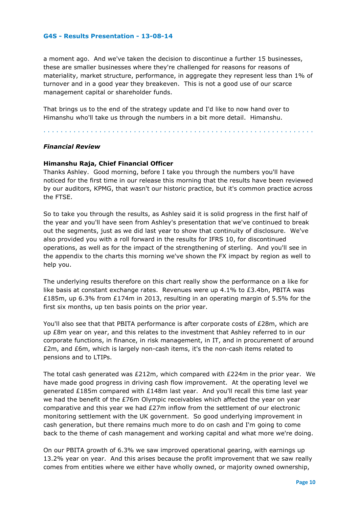a moment ago. And we've taken the decision to discontinue a further 15 businesses, these are smaller businesses where they're challenged for reasons for reasons of materiality, market structure, performance, in aggregate they represent less than 1% of turnover and in a good year they breakeven. This is not a good use of our scarce management capital or shareholder funds.

That brings us to the end of the strategy update and I'd like to now hand over to Himanshu who'll take us through the numbers in a bit more detail. Himanshu.

. . . . . . . . . . . . . . . . . . . . . . . . . . . . . . . . . . . . . . . . . . . . . . . . . . . . . . . . . . . . . . .

# *Financial Review*

# **Himanshu Raja, Chief Financial Officer**

Thanks Ashley. Good morning, before I take you through the numbers you'll have noticed for the first time in our release this morning that the results have been reviewed by our auditors, KPMG, that wasn't our historic practice, but it's common practice across the FTSE.

So to take you through the results, as Ashley said it is solid progress in the first half of the year and you'll have seen from Ashley's presentation that we've continued to break out the segments, just as we did last year to show that continuity of disclosure. We've also provided you with a roll forward in the results for IFRS 10, for discontinued operations, as well as for the impact of the strengthening of sterling. And you'll see in the appendix to the charts this morning we've shown the FX impact by region as well to help you.

The underlying results therefore on this chart really show the performance on a like for like basis at constant exchange rates. Revenues were up 4.1% to £3.4bn, PBITA was £185m, up 6.3% from £174m in 2013, resulting in an operating margin of 5.5% for the first six months, up ten basis points on the prior year.

You'll also see that that PBITA performance is after corporate costs of £28m, which are up £8m year on year, and this relates to the investment that Ashley referred to in our corporate functions, in finance, in risk management, in IT, and in procurement of around £2m, and £6m, which is largely non-cash items, it's the non-cash items related to pensions and to LTIPs.

The total cash generated was  $E212m$ , which compared with  $E224m$  in the prior year. We have made good progress in driving cash flow improvement. At the operating level we generated £185m compared with £148m last year. And you'll recall this time last year we had the benefit of the £76m Olympic receivables which affected the year on year comparative and this year we had £27m inflow from the settlement of our electronic monitoring settlement with the UK government. So good underlying improvement in cash generation, but there remains much more to do on cash and I'm going to come back to the theme of cash management and working capital and what more we're doing.

On our PBITA growth of 6.3% we saw improved operational gearing, with earnings up 13.2% year on year. And this arises because the profit improvement that we saw really comes from entities where we either have wholly owned, or majority owned ownership,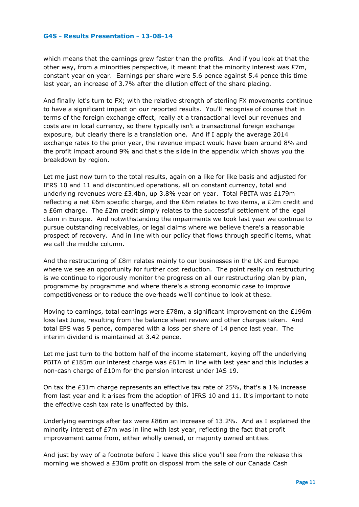which means that the earnings grew faster than the profits. And if you look at that the other way, from a minorities perspective, it meant that the minority interest was  $E7m$ , constant year on year. Earnings per share were 5.6 pence against 5.4 pence this time last year, an increase of 3.7% after the dilution effect of the share placing.

And finally let's turn to FX; with the relative strength of sterling FX movements continue to have a significant impact on our reported results. You'll recognise of course that in terms of the foreign exchange effect, really at a transactional level our revenues and costs are in local currency, so there typically isn't a transactional foreign exchange exposure, but clearly there is a translation one. And if I apply the average 2014 exchange rates to the prior year, the revenue impact would have been around 8% and the profit impact around 9% and that's the slide in the appendix which shows you the breakdown by region.

Let me just now turn to the total results, again on a like for like basis and adjusted for IFRS 10 and 11 and discontinued operations, all on constant currency, total and underlying revenues were £3.4bn, up 3.8% year on year. Total PBITA was £179m reflecting a net £6m specific charge, and the £6m relates to two items, a £2m credit and a £6m charge. The £2m credit simply relates to the successful settlement of the legal claim in Europe. And notwithstanding the impairments we took last year we continue to pursue outstanding receivables, or legal claims where we believe there's a reasonable prospect of recovery. And in line with our policy that flows through specific items, what we call the middle column.

And the restructuring of £8m relates mainly to our businesses in the UK and Europe where we see an opportunity for further cost reduction. The point really on restructuring is we continue to rigorously monitor the progress on all our restructuring plan by plan, programme by programme and where there's a strong economic case to improve competitiveness or to reduce the overheads we'll continue to look at these.

Moving to earnings, total earnings were £78m, a significant improvement on the £196m loss last June, resulting from the balance sheet review and other charges taken. And total EPS was 5 pence, compared with a loss per share of 14 pence last year. The interim dividend is maintained at 3.42 pence.

Let me just turn to the bottom half of the income statement, keying off the underlying PBITA of £185m our interest charge was £61m in line with last year and this includes a non-cash charge of £10m for the pension interest under IAS 19.

On tax the  $\text{\pounds}31\text{m}$  charge represents an effective tax rate of 25%, that's a 1% increase from last year and it arises from the adoption of IFRS 10 and 11. It's important to note the effective cash tax rate is unaffected by this.

Underlying earnings after tax were £86m an increase of 13.2%. And as I explained the minority interest of £7m was in line with last year, reflecting the fact that profit improvement came from, either wholly owned, or majority owned entities.

And just by way of a footnote before I leave this slide you'll see from the release this morning we showed a £30m profit on disposal from the sale of our Canada Cash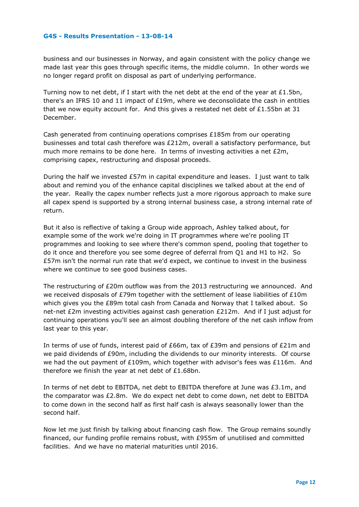business and our businesses in Norway, and again consistent with the policy change we made last year this goes through specific items, the middle column. In other words we no longer regard profit on disposal as part of underlying performance.

Turning now to net debt, if I start with the net debt at the end of the year at  $£1.5$ bn, there's an IFRS 10 and 11 impact of  $£19m$ , where we deconsolidate the cash in entities that we now equity account for. And this gives a restated net debt of  $£1.55$ bn at 31 December.

Cash generated from continuing operations comprises £185m from our operating businesses and total cash therefore was £212m, overall a satisfactory performance, but much more remains to be done here. In terms of investing activities a net £2m, comprising capex, restructuring and disposal proceeds.

During the half we invested £57m in capital expenditure and leases. I just want to talk about and remind you of the enhance capital disciplines we talked about at the end of the year. Really the capex number reflects just a more rigorous approach to make sure all capex spend is supported by a strong internal business case, a strong internal rate of return.

But it also is reflective of taking a Group wide approach, Ashley talked about, for example some of the work we're doing in IT programmes where we're pooling IT programmes and looking to see where there's common spend, pooling that together to do it once and therefore you see some degree of deferral from Q1 and H1 to H2. So £57m isn't the normal run rate that we'd expect, we continue to invest in the business where we continue to see good business cases.

The restructuring of £20m outflow was from the 2013 restructuring we announced. And we received disposals of £79m together with the settlement of lease liabilities of £10m which gives you the £89m total cash from Canada and Norway that I talked about. So net-net £2m investing activities against cash generation £212m. And if I just adjust for continuing operations you'll see an almost doubling therefore of the net cash inflow from last year to this year.

In terms of use of funds, interest paid of £66m, tax of £39m and pensions of £21m and we paid dividends of £90m, including the dividends to our minority interests. Of course we had the out payment of £109m, which together with advisor's fees was £116m. And therefore we finish the year at net debt of £1.68bn.

In terms of net debt to EBITDA, net debt to EBITDA therefore at June was £3.1m, and the comparator was £2.8m. We do expect net debt to come down, net debt to EBITDA to come down in the second half as first half cash is always seasonally lower than the second half.

Now let me just finish by talking about financing cash flow. The Group remains soundly financed, our funding profile remains robust, with £955m of unutilised and committed facilities. And we have no material maturities until 2016.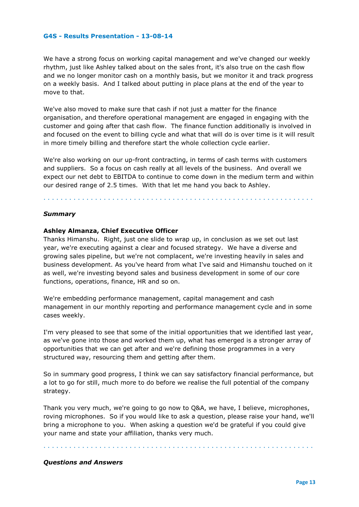We have a strong focus on working capital management and we've changed our weekly rhythm, just like Ashley talked about on the sales front, it's also true on the cash flow and we no longer monitor cash on a monthly basis, but we monitor it and track progress on a weekly basis. And I talked about putting in place plans at the end of the year to move to that.

We've also moved to make sure that cash if not just a matter for the finance organisation, and therefore operational management are engaged in engaging with the customer and going after that cash flow. The finance function additionally is involved in and focused on the event to billing cycle and what that will do is over time is it will result in more timely billing and therefore start the whole collection cycle earlier.

We're also working on our up-front contracting, in terms of cash terms with customers and suppliers. So a focus on cash really at all levels of the business. And overall we expect our net debt to EBITDA to continue to come down in the medium term and within our desired range of 2.5 times. With that let me hand you back to Ashley.

#### . . . . . . . . . . . . . . . . . . . . . . . . . . . . . . . . . . . . . . . . . . . . . . . . . . . . . . . . . . . . . . .

## *Summary*

# **Ashley Almanza, Chief Executive Officer**

Thanks Himanshu. Right, just one slide to wrap up, in conclusion as we set out last year, we're executing against a clear and focused strategy. We have a diverse and growing sales pipeline, but we're not complacent, we're investing heavily in sales and business development. As you've heard from what I've said and Himanshu touched on it as well, we're investing beyond sales and business development in some of our core functions, operations, finance, HR and so on.

We're embedding performance management, capital management and cash management in our monthly reporting and performance management cycle and in some cases weekly.

I'm very pleased to see that some of the initial opportunities that we identified last year, as we've gone into those and worked them up, what has emerged is a stronger array of opportunities that we can get after and we're defining those programmes in a very structured way, resourcing them and getting after them.

So in summary good progress, I think we can say satisfactory financial performance, but a lot to go for still, much more to do before we realise the full potential of the company strategy.

Thank you very much, we're going to go now to Q&A, we have, I believe, microphones, roving microphones. So if you would like to ask a question, please raise your hand, we'll bring a microphone to you. When asking a question we'd be grateful if you could give your name and state your affiliation, thanks very much.

. . . . . . . . . . . . . . . . . . . . . . . . . . . . . . . . . . . . . . . . . . . . . . . . . . . . . . . . . . . . . . .

#### *Questions and Answers*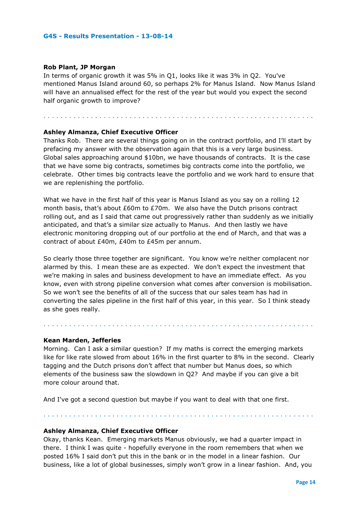## **Rob Plant, JP Morgan**

In terms of organic growth it was 5% in Q1, looks like it was 3% in Q2. You've mentioned Manus Island around 60, so perhaps 2% for Manus Island. Now Manus Island will have an annualised effect for the rest of the year but would you expect the second half organic growth to improve?

. . . . . . . . . . . . . . . . . . . . . . . . . . . . . . . . . . . . . . . . . . . . . . . . . . . . . . . . . . . . . . .

# **Ashley Almanza, Chief Executive Officer**

Thanks Rob. There are several things going on in the contract portfolio, and I'll start by prefacing my answer with the observation again that this is a very large business. Global sales approaching around \$10bn, we have thousands of contracts. It is the case that we have some big contracts, sometimes big contracts come into the portfolio, we celebrate. Other times big contracts leave the portfolio and we work hard to ensure that we are replenishing the portfolio.

What we have in the first half of this year is Manus Island as you say on a rolling 12 month basis, that's about £60m to £70m. We also have the Dutch prisons contract rolling out, and as I said that came out progressively rather than suddenly as we initially anticipated, and that's a similar size actually to Manus. And then lastly we have electronic monitoring dropping out of our portfolio at the end of March, and that was a contract of about £40m, £40m to £45m per annum.

So clearly those three together are significant. You know we're neither complacent nor alarmed by this. I mean these are as expected. We don't expect the investment that we're making in sales and business development to have an immediate effect. As you know, even with strong pipeline conversion what comes after conversion is mobilisation. So we won't see the benefits of all of the success that our sales team has had in converting the sales pipeline in the first half of this year, in this year. So I think steady as she goes really.

. . . . . . . . . . . . . . . . . . . . . . . . . . . . . . . . . . . . . . . . . . . . . . . . . . . . . . . . . . . . . . .

#### **Kean Marden, Jefferies**

Morning. Can I ask a similar question? If my maths is correct the emerging markets like for like rate slowed from about 16% in the first quarter to 8% in the second. Clearly tagging and the Dutch prisons don't affect that number but Manus does, so which elements of the business saw the slowdown in Q2? And maybe if you can give a bit more colour around that.

And I've got a second question but maybe if you want to deal with that one first.

**Ashley Almanza, Chief Executive Officer**

. . . . . . . . . . . . . . . . . . . . . . . . . . . . . . . . . . . . . . . . . . . . . . . . . . . . . . . . . . . . . . .

Okay, thanks Kean. Emerging markets Manus obviously, we had a quarter impact in there. I think I was quite - hopefully everyone in the room remembers that when we posted 16% I said don't put this in the bank or in the model in a linear fashion. Our business, like a lot of global businesses, simply won't grow in a linear fashion. And, you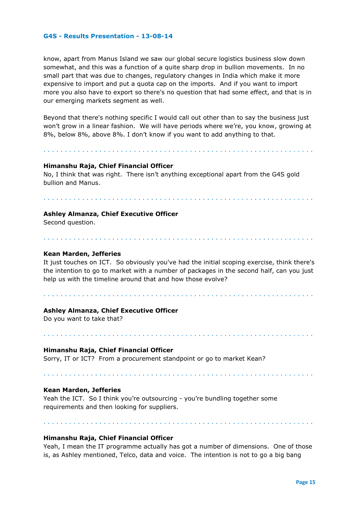know, apart from Manus Island we saw our global secure logistics business slow down somewhat, and this was a function of a quite sharp drop in bullion movements. In no small part that was due to changes, regulatory changes in India which make it more expensive to import and put a quota cap on the imports. And if you want to import more you also have to export so there's no question that had some effect, and that is in our emerging markets segment as well.

Beyond that there's nothing specific I would call out other than to say the business just won't grow in a linear fashion. We will have periods where we're, you know, growing at 8%, below 8%, above 8%. I don't know if you want to add anything to that.

. . . . . . . . . . . . . . . . . . . . . . . . . . . . . . . . . . . . . . . . . . . . . . . . . . . . . . . . . . . . . . .

#### **Himanshu Raja, Chief Financial Officer**

No, I think that was right. There isn't anything exceptional apart from the G4S gold bullion and Manus.

. . . . . . . . . . . . . . . . . . . . . . . . . . . . . . . . . . . . . . . . . . . . . . . . . . . . . . . . . . . . . . .

#### **Ashley Almanza, Chief Executive Officer**

Second question.

#### **Kean Marden, Jefferies**

It just touches on ICT. So obviously you've had the initial scoping exercise, think there's the intention to go to market with a number of packages in the second half, can you just help us with the timeline around that and how those evolve?

. . . . . . . . . . . . . . . . . . . . . . . . . . . . . . . . . . . . . . . . . . . . . . . . . . . . . . . . . . . . . . .

. . . . . . . . . . . . . . . . . . . . . . . . . . . . . . . . . . . . . . . . . . . . . . . . . . . . . . . . . . . . . . .

. . . . . . . . . . . . . . . . . . . . . . . . . . . . . . . . . . . . . . . . . . . . . . . . . . . . . . . . . . . . . . .

#### **Ashley Almanza, Chief Executive Officer**

Do you want to take that?

#### **Himanshu Raja, Chief Financial Officer**

Sorry, IT or ICT? From a procurement standpoint or go to market Kean?

# **Kean Marden, Jefferies**

Yeah the ICT. So I think you're outsourcing - you're bundling together some requirements and then looking for suppliers.

**Himanshu Raja, Chief Financial Officer**

Yeah, I mean the IT programme actually has got a number of dimensions. One of those is, as Ashley mentioned, Telco, data and voice. The intention is not to go a big bang

. . . . . . . . . . . . . . . . . . . . . . . . . . . . . . . . . . . . . . . . . . . . . . . . . . . . . . . . . . . . . . .

. . . . . . . . . . . . . . . . . . . . . . . . . . . . . . . . . . . . . . . . . . . . . . . . . . . . . . . . . . . . . . .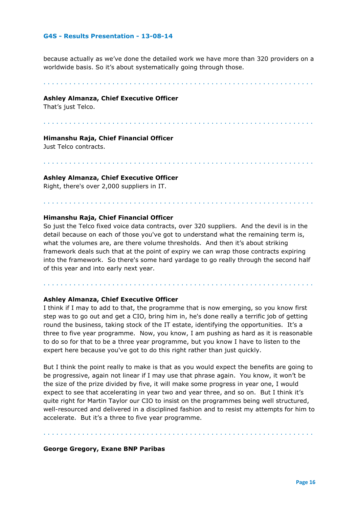because actually as we've done the detailed work we have more than 320 providers on a worldwide basis. So it's about systematically going through those.

. . . . . . . . . . . . . . . . . . . . . . . . . . . . . . . . . . . . . . . . . . . . . . . . . . . . . . . . . . . . . . .

#### **Ashley Almanza, Chief Executive Officer**

That's just Telco.

. . . . . . . . . . . . . . . . . . . . . . . . . . . . . . . . . . . . . . . . . . . . . . . . . . . . . . . . . . . . . . .

. . . . . . . . . . . . . . . . . . . . . . . . . . . . . . . . . . . . . . . . . . . . . . . . . . . . . . . . . . . . . . .

. . . . . . . . . . . . . . . . . . . . . . . . . . . . . . . . . . . . . . . . . . . . . . . . . . . . . . . . . . . . . . .

#### **Himanshu Raja, Chief Financial Officer**

Just Telco contracts.

#### **Ashley Almanza, Chief Executive Officer**

Right, there's over 2,000 suppliers in IT.

#### **Himanshu Raja, Chief Financial Officer**

So just the Telco fixed voice data contracts, over 320 suppliers. And the devil is in the detail because on each of those you've got to understand what the remaining term is, what the volumes are, are there volume thresholds. And then it's about striking framework deals such that at the point of expiry we can wrap those contracts expiring into the framework. So there's some hard yardage to go really through the second half of this year and into early next year.

. . . . . . . . . . . . . . . . . . . . . . . . . . . . . . . . . . . . . . . . . . . . . . . . . . . . . . . . . . . . . . .

#### **Ashley Almanza, Chief Executive Officer**

I think if I may to add to that, the programme that is now emerging, so you know first step was to go out and get a CIO, bring him in, he's done really a terrific job of getting round the business, taking stock of the IT estate, identifying the opportunities. It's a three to five year programme. Now, you know, I am pushing as hard as it is reasonable to do so for that to be a three year programme, but you know I have to listen to the expert here because you've got to do this right rather than just quickly.

But I think the point really to make is that as you would expect the benefits are going to be progressive, again not linear if I may use that phrase again. You know, it won't be the size of the prize divided by five, it will make some progress in year one, I would expect to see that accelerating in year two and year three, and so on. But I think it's quite right for Martin Taylor our CIO to insist on the programmes being well structured, well-resourced and delivered in a disciplined fashion and to resist my attempts for him to accelerate. But it's a three to five year programme.

. . . . . . . . . . . . . . . . . . . . . . . . . . . . . . . . . . . . . . . . . . . . . . . . . . . . . . . . . . . . . . .

#### **George Gregory, Exane BNP Paribas**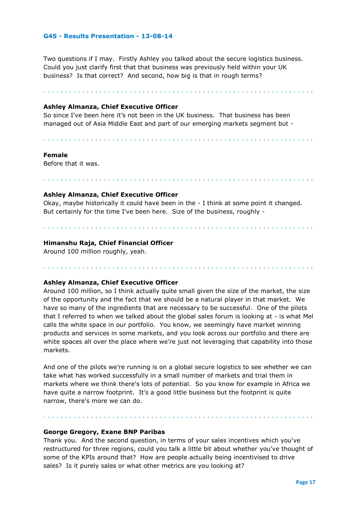Two questions if I may. Firstly Ashley you talked about the secure logistics business. Could you just clarify first that that business was previously held within your UK business? Is that correct? And second, how big is that in rough terms?

. . . . . . . . . . . . . . . . . . . . . . . . . . . . . . . . . . . . . . . . . . . . . . . . . . . . . . . . . . . . . . .

. . . . . . . . . . . . . . . . . . . . . . . . . . . . . . . . . . . . . . . . . . . . . . . . . . . . . . . . . . . . . . .

. . . . . . . . . . . . . . . . . . . . . . . . . . . . . . . . . . . . . . . . . . . . . . . . . . . . . . . . . . . . . . .

**Ashley Almanza, Chief Executive Officer** 

So since I've been here it's not been in the UK business. That business has been managed out of Asia Middle East and part of our emerging markets segment but -

#### **Female**

Before that it was.

## **Ashley Almanza, Chief Executive Officer**

Okay, maybe historically it could have been in the - I think at some point it changed. But certainly for the time I've been here. Size of the business, roughly -

. . . . . . . . . . . . . . . . . . . . . . . . . . . . . . . . . . . . . . . . . . . . . . . . . . . . . . . . . . . . . . .

. . . . . . . . . . . . . . . . . . . . . . . . . . . . . . . . . . . . . . . . . . . . . . . . . . . . . . . . . . . . . . .

## **Himanshu Raja, Chief Financial Officer**

Around 100 million roughly, yeah.

#### **Ashley Almanza, Chief Executive Officer**

Around 100 million, so I think actually quite small given the size of the market, the size of the opportunity and the fact that we should be a natural player in that market. We have so many of the ingredients that are necessary to be successful. One of the pilots that I referred to when we talked about the global sales forum is looking at - is what Mel calls the white space in our portfolio. You know, we seemingly have market winning products and services in some markets, and you look across our portfolio and there are white spaces all over the place where we're just not leveraging that capability into those markets.

And one of the pilots we're running is on a global secure logistics to see whether we can take what has worked successfully in a small number of markets and trial them in markets where we think there's lots of potential. So you know for example in Africa we have quite a narrow footprint. It's a good little business but the footprint is quite narrow, there's more we can do.

# **George Gregory, Exane BNP Paribas**

Thank you. And the second question, in terms of your sales incentives which you've restructured for three regions, could you talk a little bit about whether you've thought of some of the KPIs around that? How are people actually being incentivised to drive sales? Is it purely sales or what other metrics are you looking at?

. . . . . . . . . . . . . . . . . . . . . . . . . . . . . . . . . . . . . . . . . . . . . . . . . . . . . . . . . . . . . . .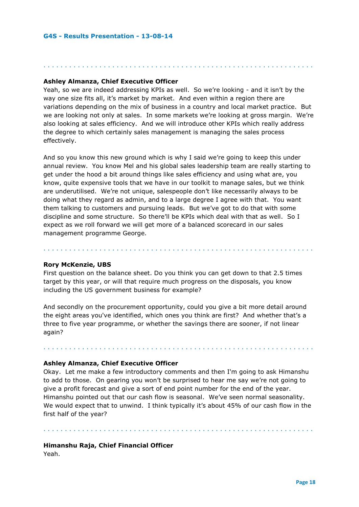# **Ashley Almanza, Chief Executive Officer**

Yeah, so we are indeed addressing KPIs as well. So we're looking - and it isn't by the way one size fits all, it's market by market. And even within a region there are variations depending on the mix of business in a country and local market practice. But we are looking not only at sales. In some markets we're looking at gross margin. We're also looking at sales efficiency. And we will introduce other KPIs which really address the degree to which certainly sales management is managing the sales process effectively.

. . . . . . . . . . . . . . . . . . . . . . . . . . . . . . . . . . . . . . . . . . . . . . . . . . . . . . . . . . . . . . .

And so you know this new ground which is why I said we're going to keep this under annual review. You know Mel and his global sales leadership team are really starting to get under the hood a bit around things like sales efficiency and using what are, you know, quite expensive tools that we have in our toolkit to manage sales, but we think are underutilised. We're not unique, salespeople don't like necessarily always to be doing what they regard as admin, and to a large degree I agree with that. You want them talking to customers and pursuing leads. But we've got to do that with some discipline and some structure. So there'll be KPIs which deal with that as well. So I expect as we roll forward we will get more of a balanced scorecard in our sales management programme George.

. . . . . . . . . . . . . . . . . . . . . . . . . . . . . . . . . . . . . . . . . . . . . . . . . . . . . . . . . . . . . . .

#### **Rory McKenzie, UBS**

First question on the balance sheet. Do you think you can get down to that 2.5 times target by this year, or will that require much progress on the disposals, you know including the US government business for example?

And secondly on the procurement opportunity, could you give a bit more detail around the eight areas you've identified, which ones you think are first? And whether that's a three to five year programme, or whether the savings there are sooner, if not linear again?

. . . . . . . . . . . . . . . . . . . . . . . . . . . . . . . . . . . . . . . . . . . . . . . . . . . . . . . . . . . . . . .

#### **Ashley Almanza, Chief Executive Officer**

Okay. Let me make a few introductory comments and then I'm going to ask Himanshu to add to those. On gearing you won't be surprised to hear me say we're not going to give a profit forecast and give a sort of end point number for the end of the year. Himanshu pointed out that our cash flow is seasonal. We've seen normal seasonality. We would expect that to unwind. I think typically it's about 45% of our cash flow in the first half of the year?

. . . . . . . . . . . . . . . . . . . . . . . . . . . . . . . . . . . . . . . . . . . . . . . . . . . . . . . . . . . . . . .

#### **Himanshu Raja, Chief Financial Officer**

Yeah.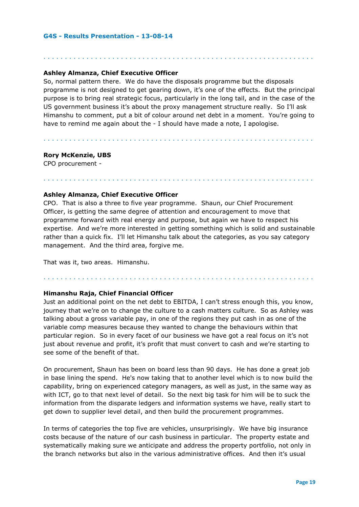# **Ashley Almanza, Chief Executive Officer**

So, normal pattern there. We do have the disposals programme but the disposals programme is not designed to get gearing down, it's one of the effects. But the principal purpose is to bring real strategic focus, particularly in the long tail, and in the case of the US government business it's about the proxy management structure really. So I'll ask Himanshu to comment, put a bit of colour around net debt in a moment. You're going to have to remind me again about the - I should have made a note, I apologise.

. . . . . . . . . . . . . . . . . . . . . . . . . . . . . . . . . . . . . . . . . . . . . . . . . . . . . . . . . . . . . . .

. . . . . . . . . . . . . . . . . . . . . . . . . . . . . . . . . . . . . . . . . . . . . . . . . . . . . . . . . . . . . . .

. . . . . . . . . . . . . . . . . . . . . . . . . . . . . . . . . . . . . . . . . . . . . . . . . . . . . . . . . . . . . . .

. . . . . . . . . . . . . . . . . . . . . . . . . . . . . . . . . . . . . . . . . . . . . . . . . . . . . . . . . . . . . . .

# **Rory McKenzie, UBS**

CPO procurement -

# **Ashley Almanza, Chief Executive Officer**

CPO. That is also a three to five year programme. Shaun, our Chief Procurement Officer, is getting the same degree of attention and encouragement to move that programme forward with real energy and purpose, but again we have to respect his expertise. And we're more interested in getting something which is solid and sustainable rather than a quick fix. I'll let Himanshu talk about the categories, as you say category management. And the third area, forgive me.

That was it, two areas. Himanshu.

# **Himanshu Raja, Chief Financial Officer**

Just an additional point on the net debt to EBITDA, I can't stress enough this, you know, journey that we're on to change the culture to a cash matters culture. So as Ashley was talking about a gross variable pay, in one of the regions they put cash in as one of the variable comp measures because they wanted to change the behaviours within that particular region. So in every facet of our business we have got a real focus on it's not just about revenue and profit, it's profit that must convert to cash and we're starting to see some of the benefit of that.

On procurement, Shaun has been on board less than 90 days. He has done a great job in base lining the spend. He's now taking that to another level which is to now build the capability, bring on experienced category managers, as well as just, in the same way as with ICT, go to that next level of detail. So the next big task for him will be to suck the information from the disparate ledgers and information systems we have, really start to get down to supplier level detail, and then build the procurement programmes.

In terms of categories the top five are vehicles, unsurprisingly. We have big insurance costs because of the nature of our cash business in particular. The property estate and systematically making sure we anticipate and address the property portfolio, not only in the branch networks but also in the various administrative offices. And then it's usual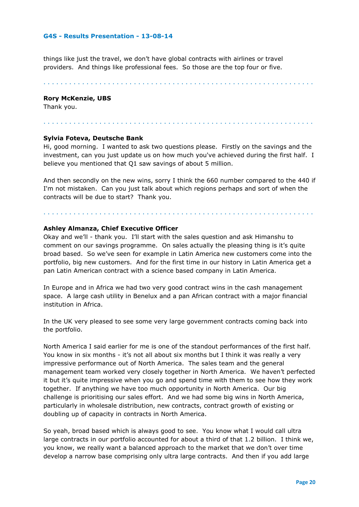things like just the travel, we don't have global contracts with airlines or travel providers. And things like professional fees. So those are the top four or five.

. . . . . . . . . . . . . . . . . . . . . . . . . . . . . . . . . . . . . . . . . . . . . . . . . . . . . . . . . . . . . . .

#### **Rory McKenzie, UBS**

Thank you.

# **Sylvia Foteva, Deutsche Bank**

Hi, good morning. I wanted to ask two questions please. Firstly on the savings and the investment, can you just update us on how much you've achieved during the first half. I believe you mentioned that Q1 saw savings of about 5 million.

. . . . . . . . . . . . . . . . . . . . . . . . . . . . . . . . . . . . . . . . . . . . . . . . . . . . . . . . . . . . . . .

And then secondly on the new wins, sorry I think the 660 number compared to the 440 if I'm not mistaken. Can you just talk about which regions perhaps and sort of when the contracts will be due to start? Thank you.

. . . . . . . . . . . . . . . . . . . . . . . . . . . . . . . . . . . . . . . . . . . . . . . . . . . . . . . . . . . . . . .

## **Ashley Almanza, Chief Executive Officer**

Okay and we'll - thank you. I'll start with the sales question and ask Himanshu to comment on our savings programme. On sales actually the pleasing thing is it's quite broad based. So we've seen for example in Latin America new customers come into the portfolio, big new customers. And for the first time in our history in Latin America get a pan Latin American contract with a science based company in Latin America.

In Europe and in Africa we had two very good contract wins in the cash management space. A large cash utility in Benelux and a pan African contract with a major financial institution in Africa.

In the UK very pleased to see some very large government contracts coming back into the portfolio.

North America I said earlier for me is one of the standout performances of the first half. You know in six months - it's not all about six months but I think it was really a very impressive performance out of North America. The sales team and the general management team worked very closely together in North America. We haven't perfected it but it's quite impressive when you go and spend time with them to see how they work together. If anything we have too much opportunity in North America. Our big challenge is prioritising our sales effort. And we had some big wins in North America, particularly in wholesale distribution, new contracts, contract growth of existing or doubling up of capacity in contracts in North America.

So yeah, broad based which is always good to see. You know what I would call ultra large contracts in our portfolio accounted for about a third of that 1.2 billion. I think we, you know, we really want a balanced approach to the market that we don't over time develop a narrow base comprising only ultra large contracts. And then if you add large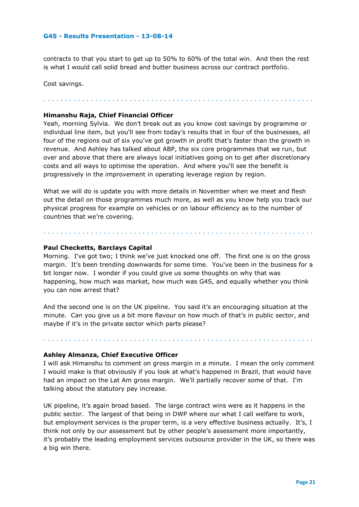contracts to that you start to get up to 50% to 60% of the total win. And then the rest is what I would call solid bread and butter business across our contract portfolio.

. . . . . . . . . . . . . . . . . . . . . . . . . . . . . . . . . . . . . . . . . . . . . . . . . . . . . . . . . . . . . . .

Cost savings.

#### **Himanshu Raja, Chief Financial Officer**

Yeah, morning Sylvia. We don't break out as you know cost savings by programme or individual line item, but you'll see from today's results that in four of the businesses, all four of the regions out of six you've got growth in profit that's faster than the growth in revenue. And Ashley has talked about ABP, the six core programmes that we run, but over and above that there are always local initiatives going on to get after discretionary costs and all ways to optimise the operation. And where you'll see the benefit is progressively in the improvement in operating leverage region by region.

What we will do is update you with more details in November when we meet and flesh out the detail on those programmes much more, as well as you know help you track our physical progress for example on vehicles or on labour efficiency as to the number of countries that we're covering.

. . . . . . . . . . . . . . . . . . . . . . . . . . . . . . . . . . . . . . . . . . . . . . . . . . . . . . . . . . . . . . .

## **Paul Checketts, Barclays Capital**

Morning. I've got two; I think we've just knocked one off. The first one is on the gross margin. It's been trending downwards for some time. You've been in the business for a bit longer now. I wonder if you could give us some thoughts on why that was happening, how much was market, how much was G4S, and equally whether you think you can now arrest that?

And the second one is on the UK pipeline. You said it's an encouraging situation at the minute. Can you give us a bit more flavour on how much of that's in public sector, and maybe if it's in the private sector which parts please?

. . . . . . . . . . . . . . . . . . . . . . . . . . . . . . . . . . . . . . . . . . . . . . . . . . . . . . . . . . . . . . .

#### **Ashley Almanza, Chief Executive Officer**

I will ask Himanshu to comment on gross margin in a minute. I mean the only comment I would make is that obviously if you look at what's happened in Brazil, that would have had an impact on the Lat Am gross margin. We'll partially recover some of that. I'm talking about the statutory pay increase.

UK pipeline, it's again broad based. The large contract wins were as it happens in the public sector. The largest of that being in DWP where our what I call welfare to work, but employment services is the proper term, is a very effective business actually. It's, I think not only by our assessment but by other people's assessment more importantly, it's probably the leading employment services outsource provider in the UK, so there was a big win there.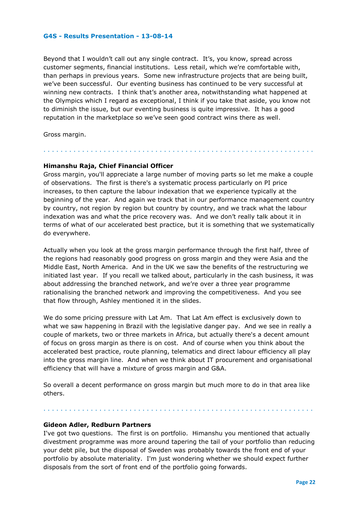Beyond that I wouldn't call out any single contract. It's, you know, spread across customer segments, financial institutions. Less retail, which we're comfortable with, than perhaps in previous years. Some new infrastructure projects that are being built, we've been successful. Our eventing business has continued to be very successful at winning new contracts. I think that's another area, notwithstanding what happened at the Olympics which I regard as exceptional, I think if you take that aside, you know not to diminish the issue, but our eventing business is quite impressive. It has a good reputation in the marketplace so we've seen good contract wins there as well.

Gross margin.

# **Himanshu Raja, Chief Financial Officer**

Gross margin, you'll appreciate a large number of moving parts so let me make a couple of observations. The first is there's a systematic process particularly on PI price increases, to then capture the labour indexation that we experience typically at the beginning of the year. And again we track that in our performance management country by country, not region by region but country by country, and we track what the labour indexation was and what the price recovery was. And we don't really talk about it in terms of what of our accelerated best practice, but it is something that we systematically do everywhere.

. . . . . . . . . . . . . . . . . . . . . . . . . . . . . . . . . . . . . . . . . . . . . . . . . . . . . . . . . . . . . . .

Actually when you look at the gross margin performance through the first half, three of the regions had reasonably good progress on gross margin and they were Asia and the Middle East, North America. And in the UK we saw the benefits of the restructuring we initiated last year. If you recall we talked about, particularly in the cash business, it was about addressing the branched network, and we're over a three year programme rationalising the branched network and improving the competitiveness. And you see that flow through, Ashley mentioned it in the slides.

We do some pricing pressure with Lat Am. That Lat Am effect is exclusively down to what we saw happening in Brazil with the legislative danger pay. And we see in really a couple of markets, two or three markets in Africa, but actually there's a decent amount of focus on gross margin as there is on cost. And of course when you think about the accelerated best practice, route planning, telematics and direct labour efficiency all play into the gross margin line. And when we think about IT procurement and organisational efficiency that will have a mixture of gross margin and G&A.

So overall a decent performance on gross margin but much more to do in that area like others.

. . . . . . . . . . . . . . . . . . . . . . . . . . . . . . . . . . . . . . . . . . . . . . . . . . . . . . . . . . . . . . .

#### **Gideon Adler, Redburn Partners**

I've got two questions. The first is on portfolio. Himanshu you mentioned that actually divestment programme was more around tapering the tail of your portfolio than reducing your debt pile, but the disposal of Sweden was probably towards the front end of your portfolio by absolute materiality. I'm just wondering whether we should expect further disposals from the sort of front end of the portfolio going forwards.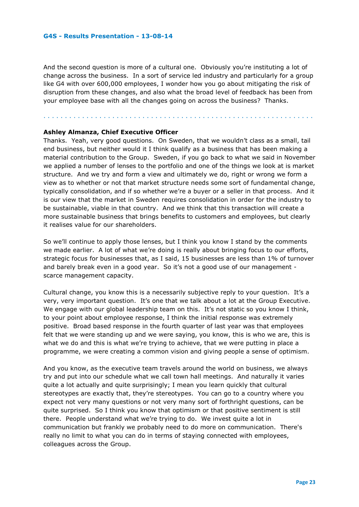And the second question is more of a cultural one. Obviously you're instituting a lot of change across the business. In a sort of service led industry and particularly for a group like G4 with over 600,000 employees, I wonder how you go about mitigating the risk of disruption from these changes, and also what the broad level of feedback has been from your employee base with all the changes going on across the business? Thanks.

. . . . . . . . . . . . . . . . . . . . . . . . . . . . . . . . . . . . . . . . . . . . . . . . . . . . . . . . . . . . . . .

# **Ashley Almanza, Chief Executive Officer**

Thanks. Yeah, very good questions. On Sweden, that we wouldn't class as a small, tail end business, but neither would it I think qualify as a business that has been making a material contribution to the Group. Sweden, if you go back to what we said in November we applied a number of lenses to the portfolio and one of the things we look at is market structure. And we try and form a view and ultimately we do, right or wrong we form a view as to whether or not that market structure needs some sort of fundamental change, typically consolidation, and if so whether we're a buyer or a seller in that process. And it is our view that the market in Sweden requires consolidation in order for the industry to be sustainable, viable in that country. And we think that this transaction will create a more sustainable business that brings benefits to customers and employees, but clearly it realises value for our shareholders.

So we'll continue to apply those lenses, but I think you know I stand by the comments we made earlier. A lot of what we're doing is really about bringing focus to our efforts, strategic focus for businesses that, as I said, 15 businesses are less than 1% of turnover and barely break even in a good year. So it's not a good use of our management scarce management capacity.

Cultural change, you know this is a necessarily subjective reply to your question. It's a very, very important question. It's one that we talk about a lot at the Group Executive. We engage with our global leadership team on this. It's not static so you know I think, to your point about employee response, I think the initial response was extremely positive. Broad based response in the fourth quarter of last year was that employees felt that we were standing up and we were saying, you know, this is who we are, this is what we do and this is what we're trying to achieve, that we were putting in place a programme, we were creating a common vision and giving people a sense of optimism.

And you know, as the executive team travels around the world on business, we always try and put into our schedule what we call town hall meetings. And naturally it varies quite a lot actually and quite surprisingly; I mean you learn quickly that cultural stereotypes are exactly that, they're stereotypes. You can go to a country where you expect not very many questions or not very many sort of forthright questions, can be quite surprised. So I think you know that optimism or that positive sentiment is still there. People understand what we're trying to do. We invest quite a lot in communication but frankly we probably need to do more on communication. There's really no limit to what you can do in terms of staying connected with employees, colleagues across the Group.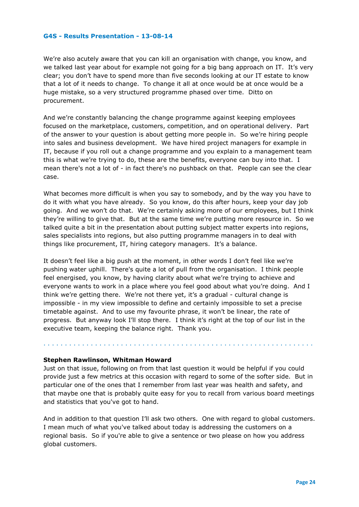We're also acutely aware that you can kill an organisation with change, you know, and we talked last year about for example not going for a big bang approach on IT. It's very clear; you don't have to spend more than five seconds looking at our IT estate to know that a lot of it needs to change. To change it all at once would be at once would be a huge mistake, so a very structured programme phased over time. Ditto on procurement.

And we're constantly balancing the change programme against keeping employees focused on the marketplace, customers, competition, and on operational delivery. Part of the answer to your question is about getting more people in. So we're hiring people into sales and business development. We have hired project managers for example in IT, because if you roll out a change programme and you explain to a management team this is what we're trying to do, these are the benefits, everyone can buy into that. I mean there's not a lot of - in fact there's no pushback on that. People can see the clear case.

What becomes more difficult is when you say to somebody, and by the way you have to do it with what you have already. So you know, do this after hours, keep your day job going. And we won't do that. We're certainly asking more of our employees, but I think they're willing to give that. But at the same time we're putting more resource in. So we talked quite a bit in the presentation about putting subject matter experts into regions, sales specialists into regions, but also putting programme managers in to deal with things like procurement, IT, hiring category managers. It's a balance.

It doesn't feel like a big push at the moment, in other words I don't feel like we're pushing water uphill. There's quite a lot of pull from the organisation. I think people feel energised, you know, by having clarity about what we're trying to achieve and everyone wants to work in a place where you feel good about what you're doing. And I think we're getting there. We're not there yet, it's a gradual - cultural change is impossible - in my view impossible to define and certainly impossible to set a precise timetable against. And to use my favourite phrase, it won't be linear, the rate of progress. But anyway look I'll stop there. I think it's right at the top of our list in the executive team, keeping the balance right. Thank you.

#### **Stephen Rawlinson, Whitman Howard**

Just on that issue, following on from that last question it would be helpful if you could provide just a few metrics at this occasion with regard to some of the softer side. But in particular one of the ones that I remember from last year was health and safety, and that maybe one that is probably quite easy for you to recall from various board meetings and statistics that you've got to hand.

. . . . . . . . . . . . . . . . . . . . . . . . . . . . . . . . . . . . . . . . . . . . . . . . . . . . . . . . . . . . . . .

And in addition to that question I'll ask two others. One with regard to global customers. I mean much of what you've talked about today is addressing the customers on a regional basis. So if you're able to give a sentence or two please on how you address global customers.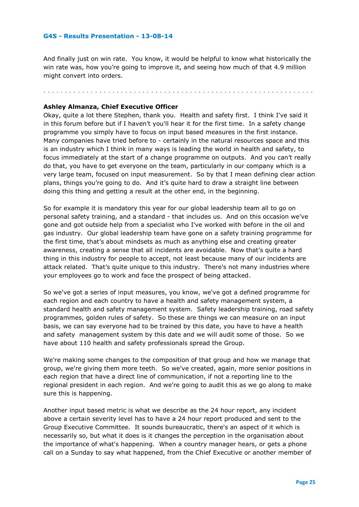And finally just on win rate. You know, it would be helpful to know what historically the win rate was, how you're going to improve it, and seeing how much of that 4.9 million might convert into orders.

. . . . . . . . . . . . . . . . . . . . . . . . . . . . . . . . . . . . . . . . . . . . . . . . . . . . . . . . . . . . . . .

#### **Ashley Almanza, Chief Executive Officer**

Okay, quite a lot there Stephen, thank you. Health and safety first. I think I've said it in this forum before but if I haven't you'll hear it for the first time. In a safety change programme you simply have to focus on input based measures in the first instance. Many companies have tried before to - certainly in the natural resources space and this is an industry which I think in many ways is leading the world in health and safety, to focus immediately at the start of a change programme on outputs. And you can't really do that, you have to get everyone on the team, particularly in our company which is a very large team, focused on input measurement. So by that I mean defining clear action plans, things you're going to do. And it's quite hard to draw a straight line between doing this thing and getting a result at the other end, in the beginning.

So for example it is mandatory this year for our global leadership team all to go on personal safety training, and a standard - that includes us. And on this occasion we've gone and got outside help from a specialist who I've worked with before in the oil and gas industry. Our global leadership team have gone on a safety training programme for the first time, that's about mindsets as much as anything else and creating greater awareness, creating a sense that all incidents are avoidable. Now that's quite a hard thing in this industry for people to accept, not least because many of our incidents are attack related. That's quite unique to this industry. There's not many industries where your employees go to work and face the prospect of being attacked.

So we've got a series of input measures, you know, we've got a defined programme for each region and each country to have a health and safety management system, a standard health and safety management system. Safety leadership training, road safety programmes, golden rules of safety. So these are things we can measure on an input basis, we can say everyone had to be trained by this date, you have to have a health and safety management system by this date and we will audit some of those. So we have about 110 health and safety professionals spread the Group.

We're making some changes to the composition of that group and how we manage that group, we're giving them more teeth. So we've created, again, more senior positions in each region that have a direct line of communication, if not a reporting line to the regional president in each region. And we're going to audit this as we go along to make sure this is happening.

Another input based metric is what we describe as the 24 hour report, any incident above a certain severity level has to have a 24 hour report produced and sent to the Group Executive Committee. It sounds bureaucratic, there's an aspect of it which is necessarily so, but what it does is it changes the perception in the organisation about the importance of what's happening. When a country manager hears, or gets a phone call on a Sunday to say what happened, from the Chief Executive or another member of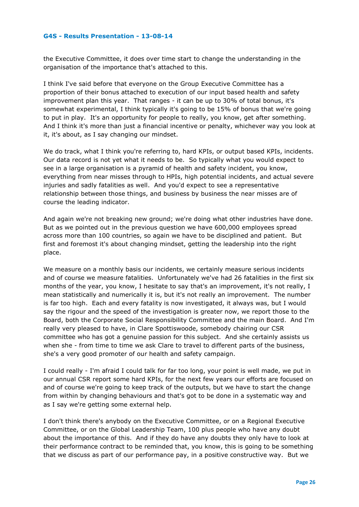the Executive Committee, it does over time start to change the understanding in the organisation of the importance that's attached to this.

I think I've said before that everyone on the Group Executive Committee has a proportion of their bonus attached to execution of our input based health and safety improvement plan this year. That ranges - it can be up to 30% of total bonus, it's somewhat experimental, I think typically it's going to be 15% of bonus that we're going to put in play. It's an opportunity for people to really, you know, get after something. And I think it's more than just a financial incentive or penalty, whichever way you look at it, it's about, as I say changing our mindset.

We do track, what I think you're referring to, hard KPIs, or output based KPIs, incidents. Our data record is not yet what it needs to be. So typically what you would expect to see in a large organisation is a pyramid of health and safety incident, you know, everything from near misses through to HPIs, high potential incidents, and actual severe injuries and sadly fatalities as well. And you'd expect to see a representative relationship between those things, and business by business the near misses are of course the leading indicator.

And again we're not breaking new ground; we're doing what other industries have done. But as we pointed out in the previous question we have 600,000 employees spread across more than 100 countries, so again we have to be disciplined and patient. But first and foremost it's about changing mindset, getting the leadership into the right place.

We measure on a monthly basis our incidents, we certainly measure serious incidents and of course we measure fatalities. Unfortunately we've had 26 fatalities in the first six months of the year, you know, I hesitate to say that's an improvement, it's not really, I mean statistically and numerically it is, but it's not really an improvement. The number is far too high. Each and every fatality is now investigated, it always was, but I would say the rigour and the speed of the investigation is greater now, we report those to the Board, both the Corporate Social Responsibility Committee and the main Board. And I'm really very pleased to have, in Clare Spottiswoode, somebody chairing our CSR committee who has got a genuine passion for this subject. And she certainly assists us when she - from time to time we ask Clare to travel to different parts of the business, she's a very good promoter of our health and safety campaign.

I could really - I'm afraid I could talk for far too long, your point is well made, we put in our annual CSR report some hard KPIs, for the next few years our efforts are focused on and of course we're going to keep track of the outputs, but we have to start the change from within by changing behaviours and that's got to be done in a systematic way and as I say we're getting some external help.

I don't think there's anybody on the Executive Committee, or on a Regional Executive Committee, or on the Global Leadership Team, 100 plus people who have any doubt about the importance of this. And if they do have any doubts they only have to look at their performance contract to be reminded that, you know, this is going to be something that we discuss as part of our performance pay, in a positive constructive way. But we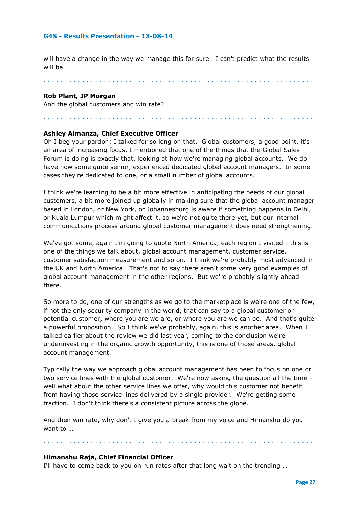will have a change in the way we manage this for sure. I can't predict what the results will be.

. . . . . . . . . . . . . . . . . . . . . . . . . . . . . . . . . . . . . . . . . . . . . . . . . . . . . . . . . . . . . . .

. . . . . . . . . . . . . . . . . . . . . . . . . . . . . . . . . . . . . . . . . . . . . . . . . . . . . . . . . . . . . . .

# **Rob Plant, JP Morgan**

And the global customers and win rate?

# **Ashley Almanza, Chief Executive Officer**

Oh I beg your pardon; I talked for so long on that. Global customers, a good point, it's an area of increasing focus, I mentioned that one of the things that the Global Sales Forum is doing is exactly that, looking at how we're managing global accounts. We do have now some quite senior, experienced dedicated global account managers. In some cases they're dedicated to one, or a small number of global accounts.

I think we're learning to be a bit more effective in anticipating the needs of our global customers, a bit more joined up globally in making sure that the global account manager based in London, or New York, or Johannesburg is aware if something happens in Delhi, or Kuala Lumpur which might affect it, so we're not quite there yet, but our internal communications process around global customer management does need strengthening.

We've got some, again I'm going to quote North America, each region I visited - this is one of the things we talk about, global account management, customer service, customer satisfaction measurement and so on. I think we're probably most advanced in the UK and North America. That's not to say there aren't some very good examples of global account management in the other regions. But we're probably slightly ahead there.

So more to do, one of our strengths as we go to the marketplace is we're one of the few, if not the only security company in the world, that can say to a global customer or potential customer, where you are we are, or where you are we can be. And that's quite a powerful proposition. So I think we've probably, again, this is another area. When I talked earlier about the review we did last year, coming to the conclusion we're underinvesting in the organic growth opportunity, this is one of those areas, global account management.

Typically the way we approach global account management has been to focus on one or two service lines with the global customer. We're now asking the question all the time well what about the other service lines we offer, why would this customer not benefit from having those service lines delivered by a single provider. We're getting some traction. I don't think there's a consistent picture across the globe.

And then win rate, why don't I give you a break from my voice and Himanshu do you want to …

. . . . . . . . . . . . . . . . . . . . . . . . . . . . . . . . . . . . . . . . . . . . . . . . . . . . . . . . . . . . . . .

#### **Himanshu Raja, Chief Financial Officer**

I'll have to come back to you on run rates after that long wait on the trending …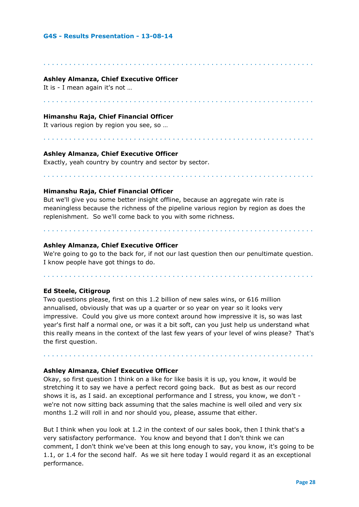# **Ashley Almanza, Chief Executive Officer**

It is - I mean again it's not …

# **Himanshu Raja, Chief Financial Officer**

It various region by region you see, so …

# **Ashley Almanza, Chief Executive Officer**

Exactly, yeah country by country and sector by sector.

# **Himanshu Raja, Chief Financial Officer**

But we'll give you some better insight offline, because an aggregate win rate is meaningless because the richness of the pipeline various region by region as does the replenishment. So we'll come back to you with some richness.

. . . . . . . . . . . . . . . . . . . . . . . . . . . . . . . . . . . . . . . . . . . . . . . . . . . . . . . . . . . . . . .

. . . . . . . . . . . . . . . . . . . . . . . . . . . . . . . . . . . . . . . . . . . . . . . . . . . . . . . . . . . . . . .

. . . . . . . . . . . . . . . . . . . . . . . . . . . . . . . . . . . . . . . . . . . . . . . . . . . . . . . . . . . . . . .

. . . . . . . . . . . . . . . . . . . . . . . . . . . . . . . . . . . . . . . . . . . . . . . . . . . . . . . . . . . . . . .

## **Ashley Almanza, Chief Executive Officer**

We're going to go to the back for, if not our last question then our penultimate question. I know people have got things to do.

. . . . . . . . . . . . . . . . . . . . . . . . . . . . . . . . . . . . . . . . . . . . . . . . . . . . . . . . . . . . . . .

. . . . . . . . . . . . . . . . . . . . . . . . . . . . . . . . . . . . . . . . . . . . . . . . . . . . . . . . . . . . . . .

**Ed Steele, Citigroup**

Two questions please, first on this 1.2 billion of new sales wins, or 616 million annualised, obviously that was up a quarter or so year on year so it looks very impressive. Could you give us more context around how impressive it is, so was last year's first half a normal one, or was it a bit soft, can you just help us understand what this really means in the context of the last few years of your level of wins please? That's the first question.

. . . . . . . . . . . . . . . . . . . . . . . . . . . . . . . . . . . . . . . . . . . . . . . . . . . . . . . . . . . . . . .

# **Ashley Almanza, Chief Executive Officer**

Okay, so first question I think on a like for like basis it is up, you know, it would be stretching it to say we have a perfect record going back. But as best as our record shows it is, as I said. an exceptional performance and I stress, you know, we don't we're not now sitting back assuming that the sales machine is well oiled and very six months 1.2 will roll in and nor should you, please, assume that either.

But I think when you look at 1.2 in the context of our sales book, then I think that's a very satisfactory performance. You know and beyond that I don't think we can comment, I don't think we've been at this long enough to say, you know, it's going to be 1.1, or 1.4 for the second half. As we sit here today I would regard it as an exceptional performance.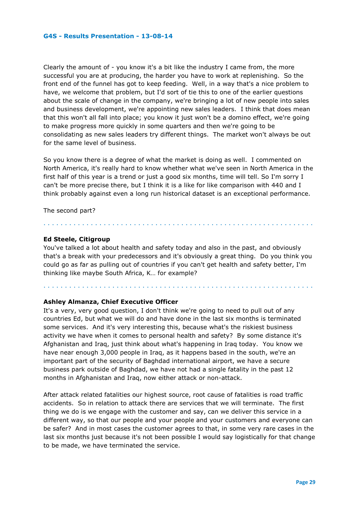Clearly the amount of - you know it's a bit like the industry I came from, the more successful you are at producing, the harder you have to work at replenishing. So the front end of the funnel has got to keep feeding. Well, in a way that's a nice problem to have, we welcome that problem, but I'd sort of tie this to one of the earlier questions about the scale of change in the company, we're bringing a lot of new people into sales and business development, we're appointing new sales leaders. I think that does mean that this won't all fall into place; you know it just won't be a domino effect, we're going to make progress more quickly in some quarters and then we're going to be consolidating as new sales leaders try different things. The market won't always be out for the same level of business.

So you know there is a degree of what the market is doing as well. I commented on North America, it's really hard to know whether what we've seen in North America in the first half of this year is a trend or just a good six months, time will tell. So I'm sorry I can't be more precise there, but I think it is a like for like comparison with 440 and I think probably against even a long run historical dataset is an exceptional performance.

The second part?

# **Ed Steele, Citigroup**

You've talked a lot about health and safety today and also in the past, and obviously that's a break with your predecessors and it's obviously a great thing. Do you think you could go as far as pulling out of countries if you can't get health and safety better, I'm thinking like maybe South Africa, K… for example?

. . . . . . . . . . . . . . . . . . . . . . . . . . . . . . . . . . . . . . . . . . . . . . . . . . . . . . . . . . . . . . .

. . . . . . . . . . . . . . . . . . . . . . . . . . . . . . . . . . . . . . . . . . . . . . . . . . . . . . . . . . . . . . .

# **Ashley Almanza, Chief Executive Officer**

It's a very, very good question, I don't think we're going to need to pull out of any countries Ed, but what we will do and have done in the last six months is terminated some services. And it's very interesting this, because what's the riskiest business activity we have when it comes to personal health and safety? By some distance it's Afghanistan and Iraq, just think about what's happening in Iraq today. You know we have near enough 3,000 people in Iraq, as it happens based in the south, we're an important part of the security of Baghdad international airport, we have a secure business park outside of Baghdad, we have not had a single fatality in the past 12 months in Afghanistan and Iraq, now either attack or non-attack.

After attack related fatalities our highest source, root cause of fatalities is road traffic accidents. So in relation to attack there are services that we will terminate. The first thing we do is we engage with the customer and say, can we deliver this service in a different way, so that our people and your people and your customers and everyone can be safer? And in most cases the customer agrees to that, in some very rare cases in the last six months just because it's not been possible I would say logistically for that change to be made, we have terminated the service.